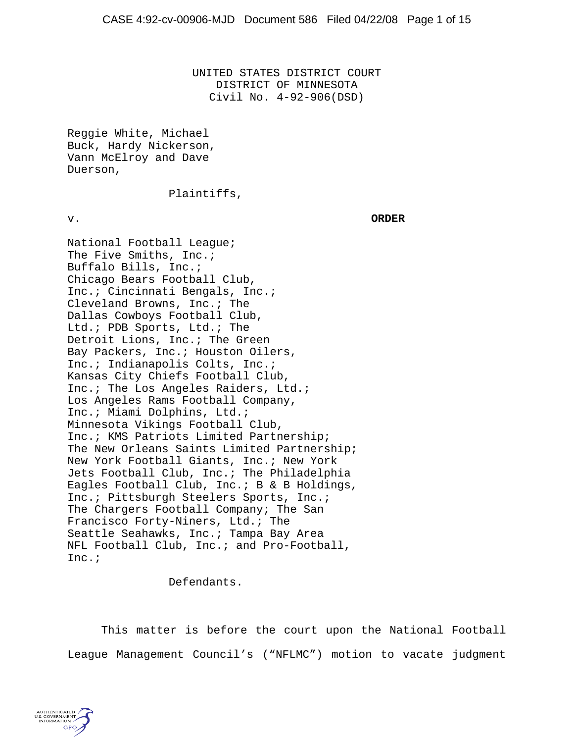UNITED STATES DISTRICT COURT DISTRICT OF MINNESOTA Civil No. 4-92-906(DSD)

Reggie White, Michael Buck, Hardy Nickerson, Vann McElroy and Dave Duerson,

### Plaintiffs,

v. **ORDER**

National Football League; The Five Smiths, Inc.; Buffalo Bills, Inc.; Chicago Bears Football Club, Inc.; Cincinnati Bengals, Inc.; Cleveland Browns, Inc.; The Dallas Cowboys Football Club, Ltd.; PDB Sports, Ltd.; The Detroit Lions, Inc.; The Green Bay Packers, Inc.; Houston Oilers, Inc.; Indianapolis Colts, Inc.; Kansas City Chiefs Football Club, Inc.; The Los Angeles Raiders, Ltd.; Los Angeles Rams Football Company, Inc.; Miami Dolphins, Ltd.; Minnesota Vikings Football Club, Inc.; KMS Patriots Limited Partnership; The New Orleans Saints Limited Partnership; New York Football Giants, Inc.; New York Jets Football Club, Inc.; The Philadelphia Eagles Football Club, Inc.; B & B Holdings, Inc.; Pittsburgh Steelers Sports, Inc.; The Chargers Football Company; The San Francisco Forty-Niners, Ltd.; The Seattle Seahawks, Inc.; Tampa Bay Area NFL Football Club, Inc.; and Pro-Football, Inc.;

Defendants.

This matter is before the court upon the National Football League Management Council's ("NFLMC") motion to vacate judgment

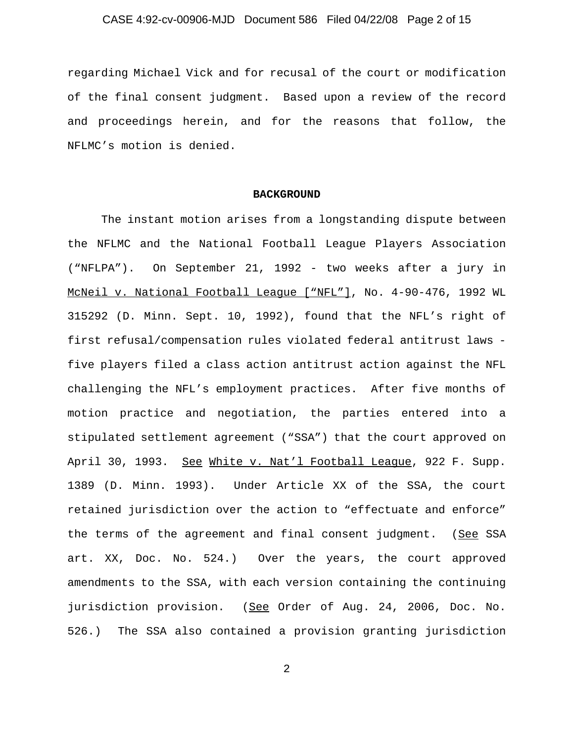# CASE 4:92-cv-00906-MJD Document 586 Filed 04/22/08 Page 2 of 15

regarding Michael Vick and for recusal of the court or modification of the final consent judgment. Based upon a review of the record and proceedings herein, and for the reasons that follow, the NFLMC's motion is denied.

#### **BACKGROUND**

The instant motion arises from a longstanding dispute between the NFLMC and the National Football League Players Association ("NFLPA"). On September 21, 1992 - two weeks after a jury in McNeil v. National Football League ["NFL"], No. 4-90-476, 1992 WL 315292 (D. Minn. Sept. 10, 1992), found that the NFL's right of first refusal/compensation rules violated federal antitrust laws five players filed a class action antitrust action against the NFL challenging the NFL's employment practices. After five months of motion practice and negotiation, the parties entered into a stipulated settlement agreement ("SSA") that the court approved on April 30, 1993. See White v. Nat'l Football League, 922 F. Supp. 1389 (D. Minn. 1993). Under Article XX of the SSA, the court retained jurisdiction over the action to "effectuate and enforce" the terms of the agreement and final consent judgment. (See SSA art. XX, Doc. No. 524.) Over the years, the court approved amendments to the SSA, with each version containing the continuing jurisdiction provision. (See Order of Aug. 24, 2006, Doc. No. 526.) The SSA also contained a provision granting jurisdiction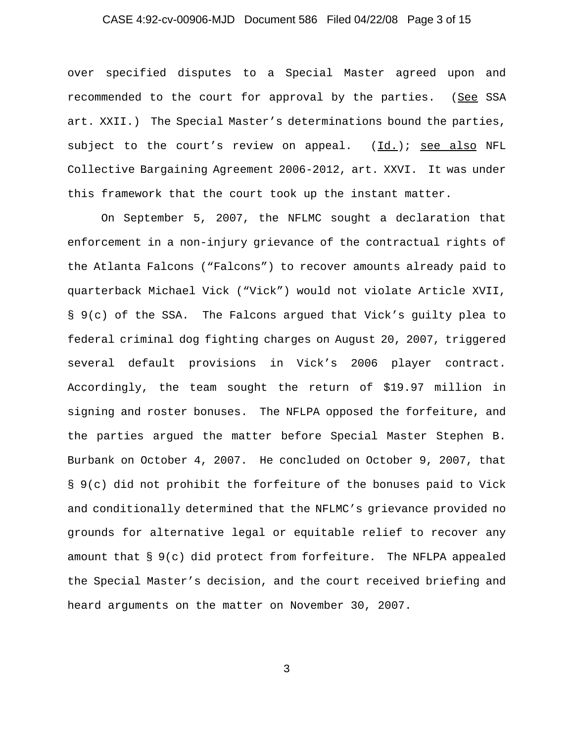# CASE 4:92-cv-00906-MJD Document 586 Filed 04/22/08 Page 3 of 15

over specified disputes to a Special Master agreed upon and recommended to the court for approval by the parties. (See SSA art. XXII.) The Special Master's determinations bound the parties, subject to the court's review on appeal. (Id.); see also NFL Collective Bargaining Agreement 2006-2012, art. XXVI. It was under this framework that the court took up the instant matter.

On September 5, 2007, the NFLMC sought a declaration that enforcement in a non-injury grievance of the contractual rights of the Atlanta Falcons ("Falcons") to recover amounts already paid to quarterback Michael Vick ("Vick") would not violate Article XVII, § 9(c) of the SSA. The Falcons argued that Vick's guilty plea to federal criminal dog fighting charges on August 20, 2007, triggered several default provisions in Vick's 2006 player contract. Accordingly, the team sought the return of \$19.97 million in signing and roster bonuses. The NFLPA opposed the forfeiture, and the parties argued the matter before Special Master Stephen B. Burbank on October 4, 2007. He concluded on October 9, 2007, that § 9(c) did not prohibit the forfeiture of the bonuses paid to Vick and conditionally determined that the NFLMC's grievance provided no grounds for alternative legal or equitable relief to recover any amount that § 9(c) did protect from forfeiture. The NFLPA appealed the Special Master's decision, and the court received briefing and heard arguments on the matter on November 30, 2007.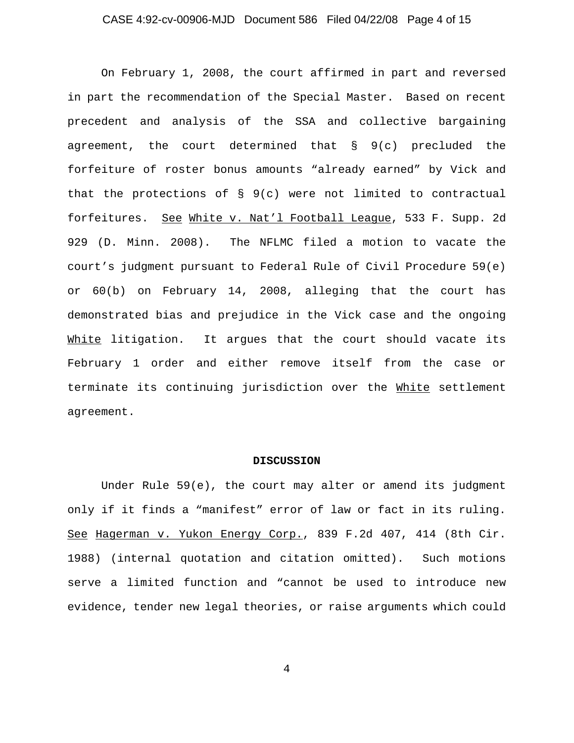# CASE 4:92-cv-00906-MJD Document 586 Filed 04/22/08 Page 4 of 15

On February 1, 2008, the court affirmed in part and reversed in part the recommendation of the Special Master. Based on recent precedent and analysis of the SSA and collective bargaining agreement, the court determined that § 9(c) precluded the forfeiture of roster bonus amounts "already earned" by Vick and that the protections of § 9(c) were not limited to contractual forfeitures. See White v. Nat'l Football League, 533 F. Supp. 2d 929 (D. Minn. 2008). The NFLMC filed a motion to vacate the court's judgment pursuant to Federal Rule of Civil Procedure 59(e) or 60(b) on February 14, 2008, alleging that the court has demonstrated bias and prejudice in the Vick case and the ongoing White litigation. It argues that the court should vacate its February 1 order and either remove itself from the case or terminate its continuing jurisdiction over the White settlement agreement.

#### **DISCUSSION**

Under Rule 59(e), the court may alter or amend its judgment only if it finds a "manifest" error of law or fact in its ruling. See Hagerman v. Yukon Energy Corp., 839 F.2d 407, 414 (8th Cir. 1988) (internal quotation and citation omitted). Such motions serve a limited function and "cannot be used to introduce new evidence, tender new legal theories, or raise arguments which could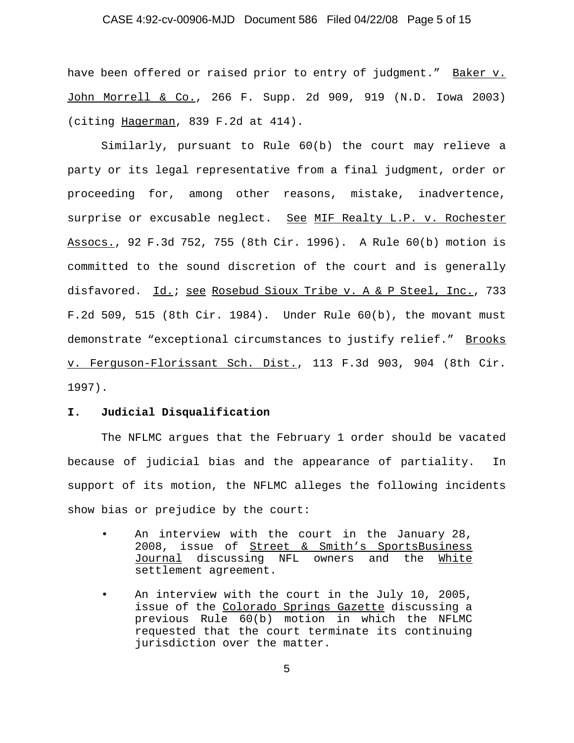### CASE 4:92-cv-00906-MJD Document 586 Filed 04/22/08 Page 5 of 15

have been offered or raised prior to entry of judgment." Baker v. John Morrell & Co., 266 F. Supp. 2d 909, 919 (N.D. Iowa 2003) (citing Hagerman, 839 F.2d at 414).

Similarly, pursuant to Rule 60(b) the court may relieve a party or its legal representative from a final judgment, order or proceeding for, among other reasons, mistake, inadvertence, surprise or excusable neglect. See MIF Realty L.P. v. Rochester Assocs., 92 F.3d 752, 755 (8th Cir. 1996). A Rule 60(b) motion is committed to the sound discretion of the court and is generally disfavored. Id.; see Rosebud Sioux Tribe v. A & P Steel, Inc., 733 F.2d 509, 515 (8th Cir. 1984). Under Rule 60(b), the movant must demonstrate "exceptional circumstances to justify relief." Brooks v. Ferguson-Florissant Sch. Dist., 113 F.3d 903, 904 (8th Cir. 1997).

### **I. Judicial Disqualification**

The NFLMC argues that the February 1 order should be vacated because of judicial bias and the appearance of partiality. In support of its motion, the NFLMC alleges the following incidents show bias or prejudice by the court:

- An interview with the court in the January 28, 2008, issue of Street & Smith's SportsBusiness Journal discussing NFL owners and the White settlement agreement.
- An interview with the court in the July 10, 2005, issue of the Colorado Springs Gazette discussing a previous Rule 60(b) motion in which the NFLMC requested that the court terminate its continuing jurisdiction over the matter.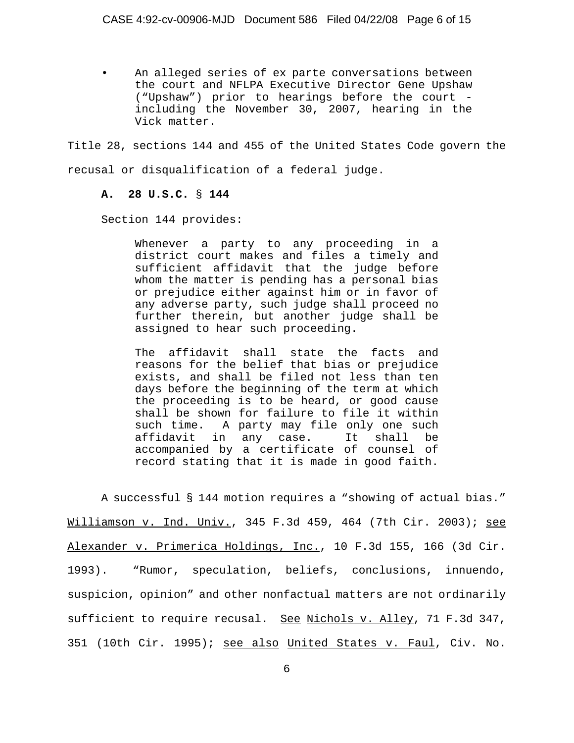An alleged series of ex parte conversations between the court and NFLPA Executive Director Gene Upshaw ("Upshaw") prior to hearings before the court including the November 30, 2007, hearing in the Vick matter.

Title 28, sections 144 and 455 of the United States Code govern the recusal or disqualification of a federal judge.

# **A. 28 U.S.C.** § **144**

Section 144 provides:

Whenever a party to any proceeding in a district court makes and files a timely and sufficient affidavit that the judge before whom the matter is pending has a personal bias or prejudice either against him or in favor of any adverse party, such judge shall proceed no further therein, but another judge shall be assigned to hear such proceeding.

The affidavit shall state the facts and reasons for the belief that bias or prejudice exists, and shall be filed not less than ten days before the beginning of the term at which the proceeding is to be heard, or good cause shall be shown for failure to file it within such time. A party may file only one such affidavit in any case. It shall be accompanied by a certificate of counsel of record stating that it is made in good faith.

A successful § 144 motion requires a "showing of actual bias." Williamson v. Ind. Univ., 345 F.3d 459, 464 (7th Cir. 2003); see Alexander v. Primerica Holdings, Inc., 10 F.3d 155, 166 (3d Cir. 1993). "Rumor, speculation, beliefs, conclusions, innuendo, suspicion, opinion" and other nonfactual matters are not ordinarily sufficient to require recusal. See Nichols v. Alley, 71 F.3d 347, 351 (10th Cir. 1995); see also United States v. Faul, Civ. No.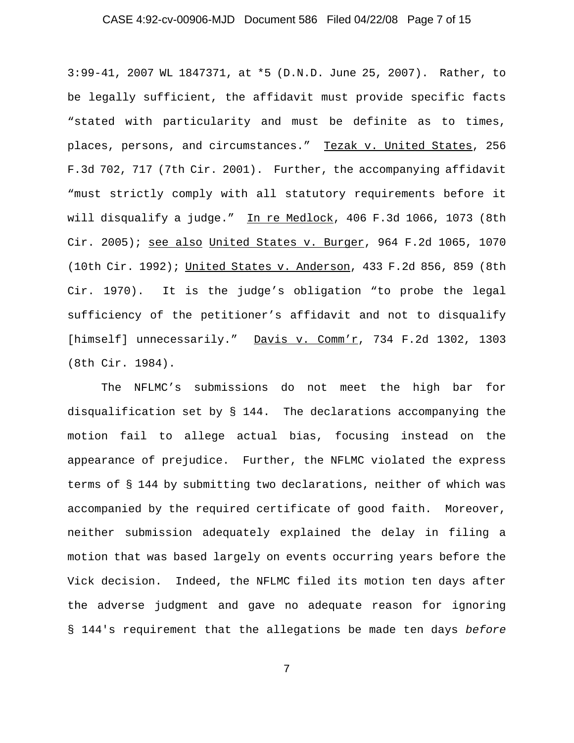# CASE 4:92-cv-00906-MJD Document 586 Filed 04/22/08 Page 7 of 15

3:99-41, 2007 WL 1847371, at \*5 (D.N.D. June 25, 2007). Rather, to be legally sufficient, the affidavit must provide specific facts "stated with particularity and must be definite as to times, places, persons, and circumstances." Tezak v. United States, 256 F.3d 702, 717 (7th Cir. 2001). Further, the accompanying affidavit "must strictly comply with all statutory requirements before it will disqualify a judge." In re Medlock, 406 F.3d 1066, 1073 (8th Cir. 2005); see also United States v. Burger, 964 F.2d 1065, 1070 (10th Cir. 1992); United States v. Anderson, 433 F.2d 856, 859 (8th Cir. 1970). It is the judge's obligation "to probe the legal sufficiency of the petitioner's affidavit and not to disqualify [himself] unnecessarily." Davis v. Comm'r, 734 F.2d 1302, 1303 (8th Cir. 1984).

The NFLMC's submissions do not meet the high bar for disqualification set by § 144. The declarations accompanying the motion fail to allege actual bias, focusing instead on the appearance of prejudice. Further, the NFLMC violated the express terms of § 144 by submitting two declarations, neither of which was accompanied by the required certificate of good faith. Moreover, neither submission adequately explained the delay in filing a motion that was based largely on events occurring years before the Vick decision. Indeed, the NFLMC filed its motion ten days after the adverse judgment and gave no adequate reason for ignoring § 144's requirement that the allegations be made ten days *before*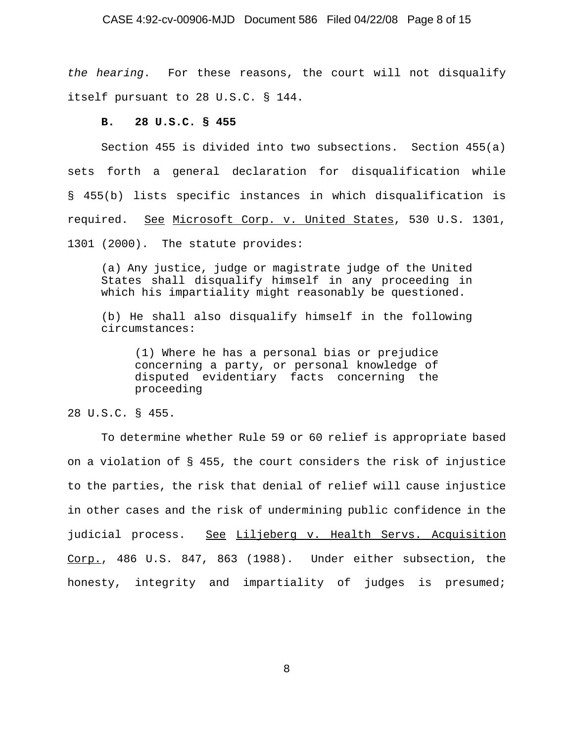#### CASE 4:92-cv-00906-MJD Document 586 Filed 04/22/08 Page 8 of 15

*the hearing*. For these reasons, the court will not disqualify itself pursuant to 28 U.S.C. § 144.

### **B. 28 U.S.C. § 455**

Section 455 is divided into two subsections. Section 455(a) sets forth a general declaration for disqualification while § 455(b) lists specific instances in which disqualification is required. See Microsoft Corp. v. United States, 530 U.S. 1301, 1301 (2000). The statute provides:

(a) Any justice, judge or magistrate judge of the United States shall disqualify himself in any proceeding in which his impartiality might reasonably be questioned.

(b) He shall also disqualify himself in the following circumstances:

(1) Where he has a personal bias or prejudice concerning a party, or personal knowledge of disputed evidentiary facts concerning the proceeding

28 U.S.C. § 455.

To determine whether Rule 59 or 60 relief is appropriate based on a violation of § 455, the court considers the risk of injustice to the parties, the risk that denial of relief will cause injustice in other cases and the risk of undermining public confidence in the judicial process. See Liljeberg v. Health Servs. Acquisition Corp., 486 U.S. 847, 863 (1988). Under either subsection, the honesty, integrity and impartiality of judges is presumed;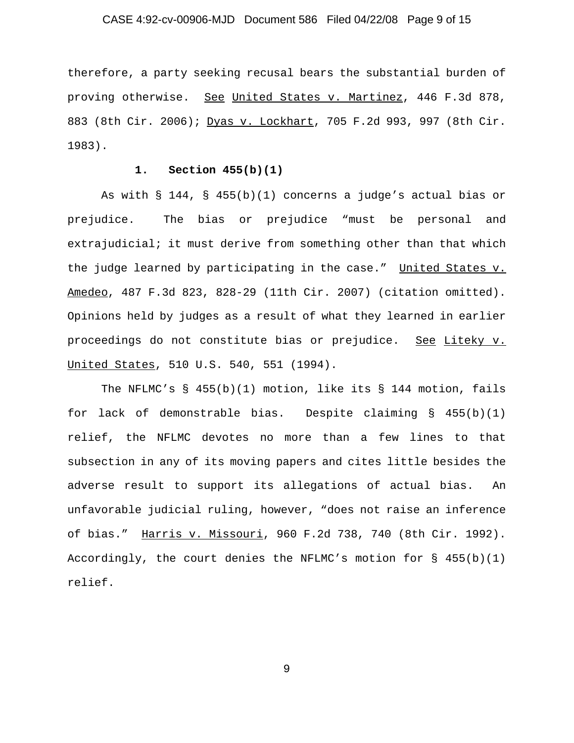# CASE 4:92-cv-00906-MJD Document 586 Filed 04/22/08 Page 9 of 15

therefore, a party seeking recusal bears the substantial burden of proving otherwise. See United States v. Martinez, 446 F.3d 878, 883 (8th Cir. 2006); Dyas v. Lockhart, 705 F.2d 993, 997 (8th Cir. 1983).

### **1. Section 455(b)(1)**

As with § 144, § 455(b)(1) concerns a judge's actual bias or prejudice. The bias or prejudice "must be personal and extrajudicial; it must derive from something other than that which the judge learned by participating in the case." United States v. Amedeo, 487 F.3d 823, 828-29 (11th Cir. 2007) (citation omitted). Opinions held by judges as a result of what they learned in earlier proceedings do not constitute bias or prejudice. See Liteky v. United States, 510 U.S. 540, 551 (1994).

The NFLMC's § 455(b)(1) motion, like its § 144 motion, fails for lack of demonstrable bias. Despite claiming § 455(b)(1) relief, the NFLMC devotes no more than a few lines to that subsection in any of its moving papers and cites little besides the adverse result to support its allegations of actual bias. An unfavorable judicial ruling, however, "does not raise an inference of bias." Harris v. Missouri, 960 F.2d 738, 740 (8th Cir. 1992). Accordingly, the court denies the NFLMC's motion for § 455(b)(1) relief.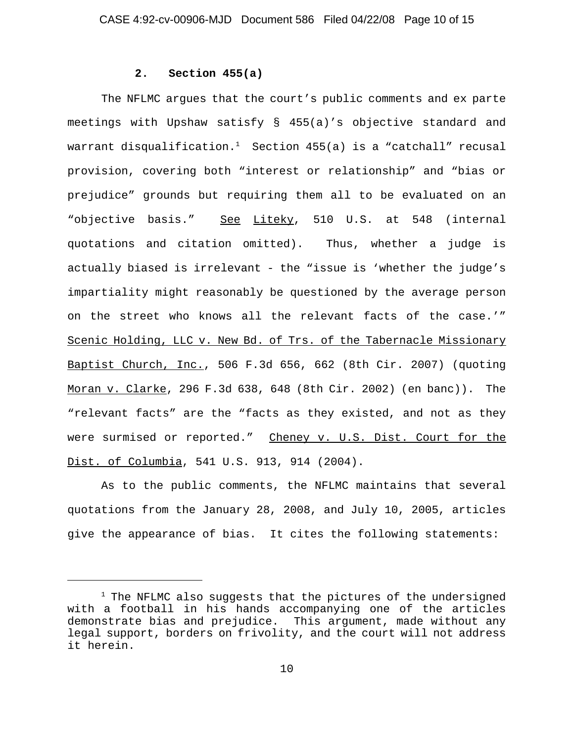### **2. Section 455(a)**

The NFLMC argues that the court's public comments and ex parte meetings with Upshaw satisfy § 455(a)'s objective standard and warrant disqualification.<sup>1</sup> Section 455(a) is a "catchall" recusal provision, covering both "interest or relationship" and "bias or prejudice" grounds but requiring them all to be evaluated on an "objective basis." See Liteky, 510 U.S. at 548 (internal quotations and citation omitted). Thus, whether a judge is actually biased is irrelevant - the "issue is 'whether the judge's impartiality might reasonably be questioned by the average person on the street who knows all the relevant facts of the case.'" Scenic Holding, LLC v. New Bd. of Trs. of the Tabernacle Missionary Baptist Church, Inc., 506 F.3d 656, 662 (8th Cir. 2007) (quoting Moran v. Clarke, 296 F.3d 638, 648 (8th Cir. 2002) (en banc)). The "relevant facts" are the "facts as they existed, and not as they were surmised or reported." Cheney v. U.S. Dist. Court for the Dist. of Columbia, 541 U.S. 913, 914 (2004).

As to the public comments, the NFLMC maintains that several quotations from the January 28, 2008, and July 10, 2005, articles give the appearance of bias. It cites the following statements:

<sup>&</sup>lt;sup>1</sup> The NFLMC also suggests that the pictures of the undersigned with a football in his hands accompanying one of the articles demonstrate bias and prejudice. This argument, made without any legal support, borders on frivolity, and the court will not address it herein.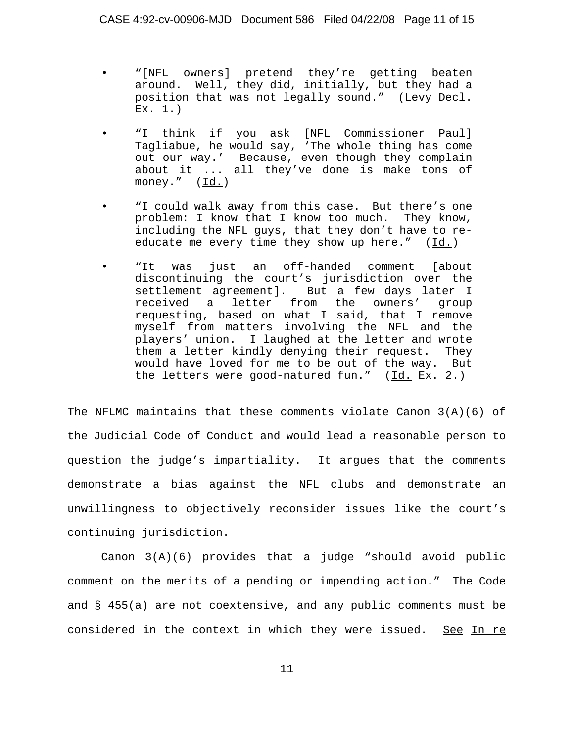- "[NFL owners] pretend they're getting beaten around. Well, they did, initially, but they had a position that was not legally sound." (Levy Decl. Ex. 1.)
- "I think if you ask [NFL Commissioner Paul] Tagliabue, he would say, 'The whole thing has come out our way.' Because, even though they complain about it ... all they've done is make tons of money." (Id.)
- "I could walk away from this case. But there's one problem: I know that I know too much. They know, including the NFL guys, that they don't have to reeducate me every time they show up here."  $(\underline{Id.})$
- "It was just an off-handed comment [about discontinuing the court's jurisdiction over the settlement agreement]. But a few days later I received a letter from the owners' group requesting, based on what I said, that I remove myself from matters involving the NFL and the players' union. I laughed at the letter and wrote them a letter kindly denying their request. They would have loved for me to be out of the way. But the letters were good-natured fun."  $(\underline{Id.}$  Ex. 2.)

The NFLMC maintains that these comments violate Canon  $3(A)(6)$  of the Judicial Code of Conduct and would lead a reasonable person to question the judge's impartiality. It argues that the comments demonstrate a bias against the NFL clubs and demonstrate an unwillingness to objectively reconsider issues like the court's continuing jurisdiction.

Canon 3(A)(6) provides that a judge "should avoid public comment on the merits of a pending or impending action." The Code and § 455(a) are not coextensive, and any public comments must be considered in the context in which they were issued. See In re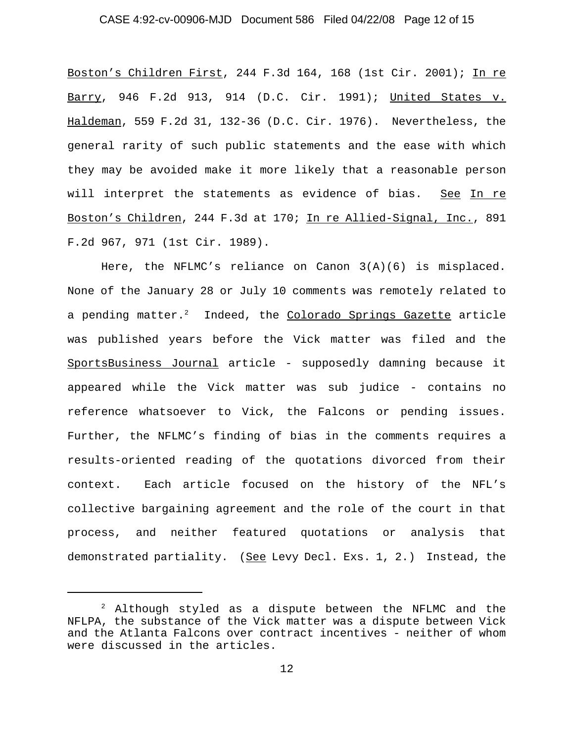### CASE 4:92-cv-00906-MJD Document 586 Filed 04/22/08 Page 12 of 15

Boston's Children First, 244 F.3d 164, 168 (1st Cir. 2001); In re Barry, 946 F.2d 913, 914 (D.C. Cir. 1991); United States v. Haldeman, 559 F.2d 31, 132-36 (D.C. Cir. 1976). Nevertheless, the general rarity of such public statements and the ease with which they may be avoided make it more likely that a reasonable person will interpret the statements as evidence of bias. See In re Boston's Children, 244 F.3d at 170; In re Allied-Signal, Inc., 891 F.2d 967, 971 (1st Cir. 1989).

Here, the NFLMC's reliance on Canon 3(A)(6) is misplaced. None of the January 28 or July 10 comments was remotely related to a pending matter. $^2$  Indeed, the Colorado Springs Gazette article was published years before the Vick matter was filed and the SportsBusiness Journal article - supposedly damning because it appeared while the Vick matter was sub judice - contains no reference whatsoever to Vick, the Falcons or pending issues. Further, the NFLMC's finding of bias in the comments requires a results-oriented reading of the quotations divorced from their context. Each article focused on the history of the NFL's collective bargaining agreement and the role of the court in that process, and neither featured quotations or analysis that demonstrated partiality. (See Levy Decl. Exs. 1, 2.) Instead, the

<sup>2</sup> Although styled as a dispute between the NFLMC and the NFLPA, the substance of the Vick matter was a dispute between Vick and the Atlanta Falcons over contract incentives - neither of whom were discussed in the articles.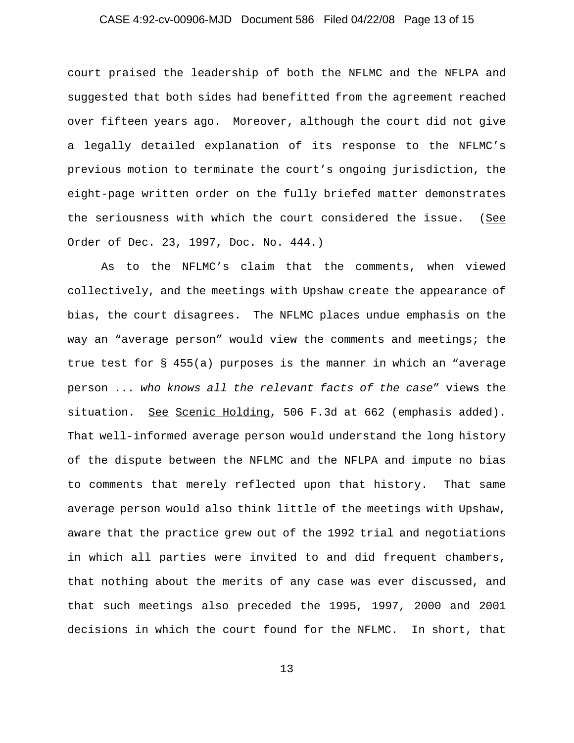# CASE 4:92-cv-00906-MJD Document 586 Filed 04/22/08 Page 13 of 15

court praised the leadership of both the NFLMC and the NFLPA and suggested that both sides had benefitted from the agreement reached over fifteen years ago. Moreover, although the court did not give a legally detailed explanation of its response to the NFLMC's previous motion to terminate the court's ongoing jurisdiction, the eight-page written order on the fully briefed matter demonstrates the seriousness with which the court considered the issue. (See Order of Dec. 23, 1997, Doc. No. 444.)

As to the NFLMC's claim that the comments, when viewed collectively, and the meetings with Upshaw create the appearance of bias, the court disagrees. The NFLMC places undue emphasis on the way an "average person" would view the comments and meetings; the true test for § 455(a) purposes is the manner in which an "average person ... *who knows all the relevant facts of the case*" views the situation. See Scenic Holding, 506 F.3d at 662 (emphasis added). That well-informed average person would understand the long history of the dispute between the NFLMC and the NFLPA and impute no bias to comments that merely reflected upon that history. That same average person would also think little of the meetings with Upshaw, aware that the practice grew out of the 1992 trial and negotiations in which all parties were invited to and did frequent chambers, that nothing about the merits of any case was ever discussed, and that such meetings also preceded the 1995, 1997, 2000 and 2001 decisions in which the court found for the NFLMC. In short, that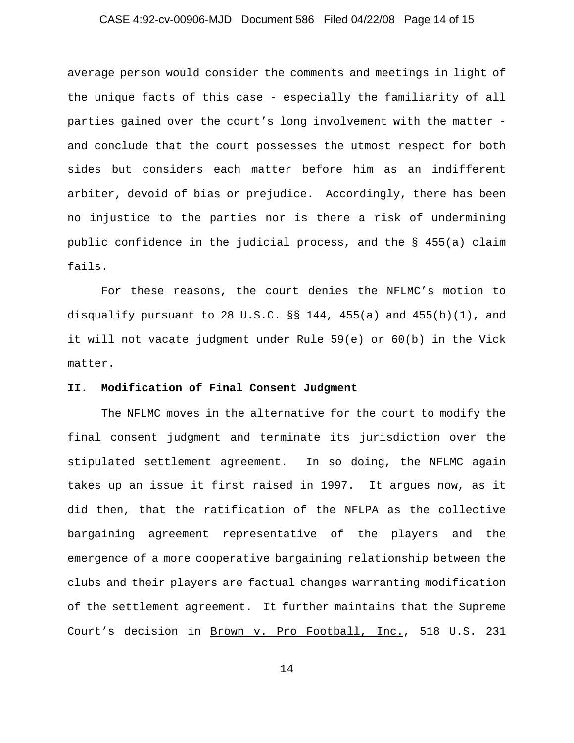# CASE 4:92-cv-00906-MJD Document 586 Filed 04/22/08 Page 14 of 15

average person would consider the comments and meetings in light of the unique facts of this case - especially the familiarity of all parties gained over the court's long involvement with the matter and conclude that the court possesses the utmost respect for both sides but considers each matter before him as an indifferent arbiter, devoid of bias or prejudice. Accordingly, there has been no injustice to the parties nor is there a risk of undermining public confidence in the judicial process, and the § 455(a) claim fails.

For these reasons, the court denies the NFLMC's motion to disqualify pursuant to 28 U.S.C.  $\S$ § 144, 455(a) and 455(b)(1), and it will not vacate judgment under Rule 59(e) or 60(b) in the Vick matter.

### **II. Modification of Final Consent Judgment**

The NFLMC moves in the alternative for the court to modify the final consent judgment and terminate its jurisdiction over the stipulated settlement agreement. In so doing, the NFLMC again takes up an issue it first raised in 1997. It argues now, as it did then, that the ratification of the NFLPA as the collective bargaining agreement representative of the players and the emergence of a more cooperative bargaining relationship between the clubs and their players are factual changes warranting modification of the settlement agreement. It further maintains that the Supreme Court's decision in Brown v. Pro Football, Inc., 518 U.S. 231